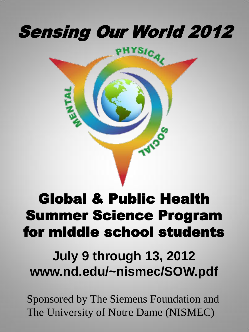# Sensing Our World 2012



## Global & Public Health Summer Science Program for middle school students

## **July 9 through 13, 2012 www.nd.edu/~nismec/SOW.pdf**

Sponsored by The Siemens Foundation and The University of Notre Dame (NISMEC)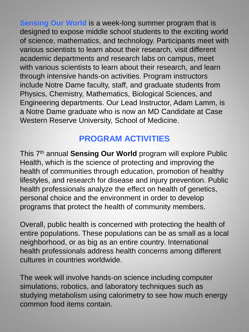**Sensing Our World** is a week-long summer program that is designed to expose middle school students to the exciting world of science, mathematics, and technology. Participants meet with various scientists to learn about their research, visit different academic departments and research labs on campus, meet with various scientists to learn about their research, and learn through intensive hands-on activities. Program instructors include Notre Dame faculty, staff, and graduate students from Physics, Chemistry, Mathematics, Biological Sciences, and Engineering departments. Our Lead Instructor, Adam Lamm, is a Notre Dame graduate who is now an MD Candidate at Case Western Reserve University, School of Medicine.

## **PROGRAM ACTIVITIES**

This 7th annual **Sensing Our World** program will explore Public Health, which is the science of protecting and improving the health of communities through education, promotion of healthy lifestyles, and research for disease and injury prevention. Public health professionals analyze the effect on health of genetics, personal choice and the environment in order to develop programs that protect the health of community members.

Overall, public health is concerned with protecting the health of entire populations. These populations can be as small as a local neighborhood, or as big as an entire country. International health professionals address health concerns among different cultures in countries worldwide.

The week will involve hands-on science including computer simulations, robotics, and laboratory techniques such as studying metabolism using calorimetry to see how much energy common food items contain.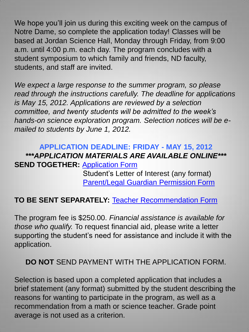We hope you'll join us during this exciting week on the campus of Notre Dame, so complete the application today! Classes will be based at Jordan Science Hall, Monday through Friday, from 9:00 a.m. until 4:00 p.m. each day. The program concludes with a student symposium to which family and friends, ND faculty, students, and staff are invited.

*We expect a large response to the summer program, so please read through the instructions carefully. The deadline for applications is May 15, 2012. Applications are reviewed by a selection committee, and twenty students will be admitted to the week's hands-on science exploration program. Selection notices will be emailed to students by June 1, 2012.* 

## **APPLICATION DEADLINE: FRIDAY - MAY 15, 2012**  *\*\*\*APPLICATION MATERIALS ARE AVAILABLE ONLINE\*\*\**  **SEND TOGETHER: [Application Form](http://www.nd.edu/~nismec/apply.pdf)**

 Student's Letter of Interest (any format) [Parent/Legal Guardian Permission Form](http://www.nd.edu/~nismec/Parental_Permission.pdf)

### **TO BE SENT SEPARATELY:** [Teacher Recommendation Form](http://www.nd.edu/~nismec/Teacher_Recommendation.pdf)

The program fee is \$250.00. *Financial assistance is available for those who qualify.* To request financial aid, please write a letter supporting the student's need for assistance and include it with the application.

#### **DO NOT** SEND PAYMENT WITH THE APPLICATION FORM.

Selection is based upon a completed application that includes a brief statement (any format) submitted by the student describing the reasons for wanting to participate in the program, as well as a recommendation from a math or science teacher. Grade point average is not used as a criterion.